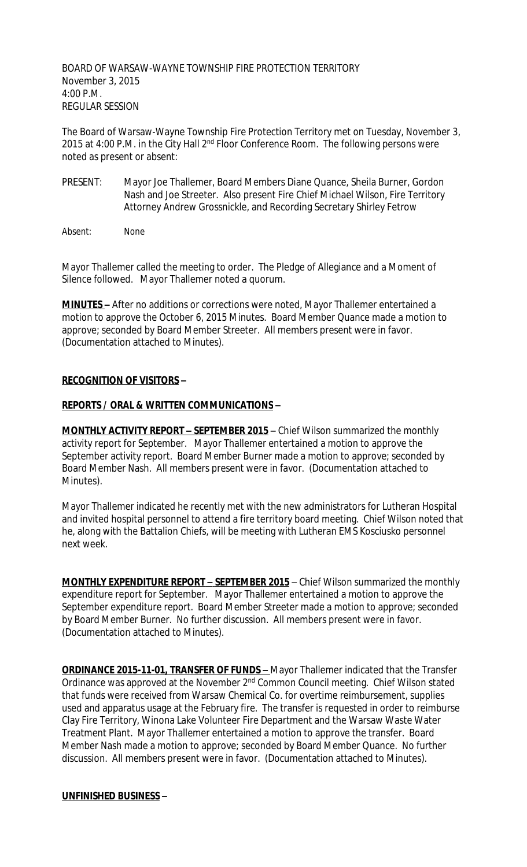BOARD OF WARSAW-WAYNE TOWNSHIP FIRE PROTECTION TERRITORY November 3, 2015 4:00 P.M. REGULAR SESSION

The Board of Warsaw-Wayne Township Fire Protection Territory met on Tuesday, November 3, 2015 at 4:00 P.M. in the City Hall 2<sup>nd</sup> Floor Conference Room. The following persons were noted as present or absent:

- PRESENT: Mayor Joe Thallemer, Board Members Diane Quance, Sheila Burner, Gordon Nash and Joe Streeter. Also present Fire Chief Michael Wilson, Fire Territory Attorney Andrew Grossnickle, and Recording Secretary Shirley Fetrow
- Absent: None

Mayor Thallemer called the meeting to order. The Pledge of Allegiance and a Moment of Silence followed. Mayor Thallemer noted a quorum.

**MINUTES –** After no additions or corrections were noted, Mayor Thallemer entertained a motion to approve the October 6, 2015 Minutes. Board Member Quance made a motion to approve; seconded by Board Member Streeter. All members present were in favor. (Documentation attached to Minutes).

## **RECOGNITION OF VISITORS –**

## **REPORTS / ORAL & WRITTEN COMMUNICATIONS –**

**MONTHLY ACTIVITY REPORT - SEPTEMBER 2015** - Chief Wilson summarized the monthly activity report for September. Mayor Thallemer entertained a motion to approve the September activity report. Board Member Burner made a motion to approve; seconded by Board Member Nash. All members present were in favor. (Documentation attached to Minutes).

Mayor Thallemer indicated he recently met with the new administrators for Lutheran Hospital and invited hospital personnel to attend a fire territory board meeting. Chief Wilson noted that he, along with the Battalion Chiefs, will be meeting with Lutheran EMS Kosciusko personnel next week.

**MONTHLY EXPENDITURE REPORT – SEPTEMBER 2015** – Chief Wilson summarized the monthly expenditure report for September. Mayor Thallemer entertained a motion to approve the September expenditure report. Board Member Streeter made a motion to approve; seconded by Board Member Burner. No further discussion. All members present were in favor. (Documentation attached to Minutes).

**ORDINANCE 2015-11-01, TRANSFER OF FUNDS -** Mayor Thallemer indicated that the Transfer Ordinance was approved at the November 2<sup>nd</sup> Common Council meeting. Chief Wilson stated that funds were received from Warsaw Chemical Co. for overtime reimbursement, supplies used and apparatus usage at the February fire. The transfer is requested in order to reimburse Clay Fire Territory, Winona Lake Volunteer Fire Department and the Warsaw Waste Water Treatment Plant. Mayor Thallemer entertained a motion to approve the transfer. Board Member Nash made a motion to approve; seconded by Board Member Quance. No further discussion. All members present were in favor. (Documentation attached to Minutes).

## **UNFINISHED BUSINESS –**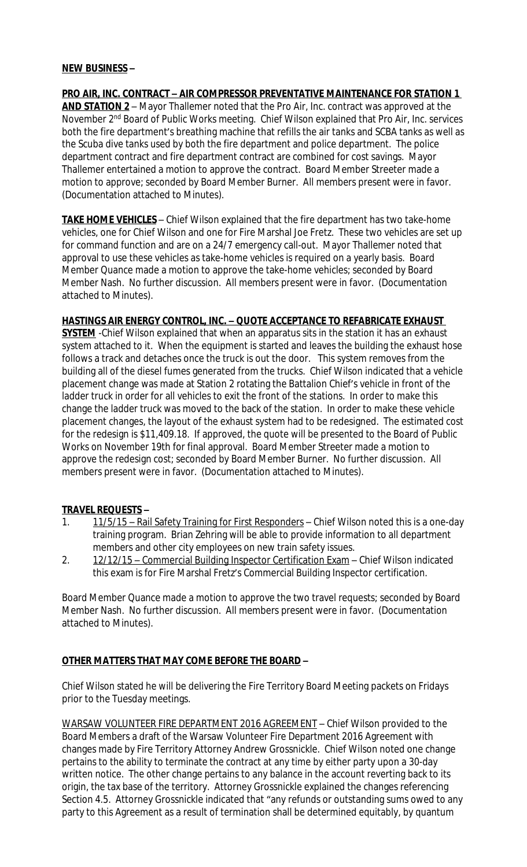#### **NEW BUSINESS –**

**PRO AIR, INC. CONTRACT – AIR COMPRESSOR PREVENTATIVE MAINTENANCE FOR STATION 1 AND STATION 2** – Mayor Thallemer noted that the Pro Air, Inc. contract was approved at the November 2nd Board of Public Works meeting. Chief Wilson explained that Pro Air, Inc. services both the fire department's breathing machine that refills the air tanks and SCBA tanks as well as the Scuba dive tanks used by both the fire department and police department. The police department contract and fire department contract are combined for cost savings. Mayor Thallemer entertained a motion to approve the contract. Board Member Streeter made a motion to approve; seconded by Board Member Burner. All members present were in favor. (Documentation attached to Minutes).

**TAKE HOME VEHICLES** – Chief Wilson explained that the fire department has two take-home vehicles, one for Chief Wilson and one for Fire Marshal Joe Fretz. These two vehicles are set up for command function and are on a 24/7 emergency call-out. Mayor Thallemer noted that approval to use these vehicles as take-home vehicles is required on a yearly basis. Board Member Quance made a motion to approve the take-home vehicles; seconded by Board Member Nash. No further discussion. All members present were in favor. (Documentation attached to Minutes).

## **HASTINGS AIR ENERGY CONTROL, INC. – QUOTE ACCEPTANCE TO REFABRICATE EXHAUST**

**SYSTEM** -Chief Wilson explained that when an apparatus sits in the station it has an exhaust system attached to it. When the equipment is started and leaves the building the exhaust hose follows a track and detaches once the truck is out the door. This system removes from the building all of the diesel fumes generated from the trucks. Chief Wilson indicated that a vehicle placement change was made at Station 2 rotating the Battalion Chief's vehicle in front of the ladder truck in order for all vehicles to exit the front of the stations. In order to make this change the ladder truck was moved to the back of the station. In order to make these vehicle placement changes, the layout of the exhaust system had to be redesigned. The estimated cost for the redesign is \$11,409.18. If approved, the quote will be presented to the Board of Public Works on November 19th for final approval. Board Member Streeter made a motion to approve the redesign cost; seconded by Board Member Burner. No further discussion. All members present were in favor. (Documentation attached to Minutes).

## **TRAVEL REQUESTS –**

- 1. 11/5/15 Rail Safety Training for First Responders Chief Wilson noted this is a one-day training program. Brian Zehring will be able to provide information to all department members and other city employees on new train safety issues.
- 2. 12/12/15 Commercial Building Inspector Certification Exam Chief Wilson indicated this exam is for Fire Marshal Fretz's Commercial Building Inspector certification.

Board Member Quance made a motion to approve the two travel requests; seconded by Board Member Nash. No further discussion. All members present were in favor. (Documentation attached to Minutes).

# **OTHER MATTERS THAT MAY COME BEFORE THE BOARD –**

Chief Wilson stated he will be delivering the Fire Territory Board Meeting packets on Fridays prior to the Tuesday meetings.

WARSAW VOLUNTEER FIRE DEPARTMENT 2016 AGREEMENT – Chief Wilson provided to the Board Members a draft of the Warsaw Volunteer Fire Department 2016 Agreement with changes made by Fire Territory Attorney Andrew Grossnickle. Chief Wilson noted one change pertains to the ability to terminate the contract at any time by either party upon a 30-day written notice. The other change pertains to any balance in the account reverting back to its origin, the tax base of the territory. Attorney Grossnickle explained the changes referencing Section 4.5. Attorney Grossnickle indicated that "any refunds or outstanding sums owed to any party to this Agreement as a result of termination shall be determined equitably, by quantum